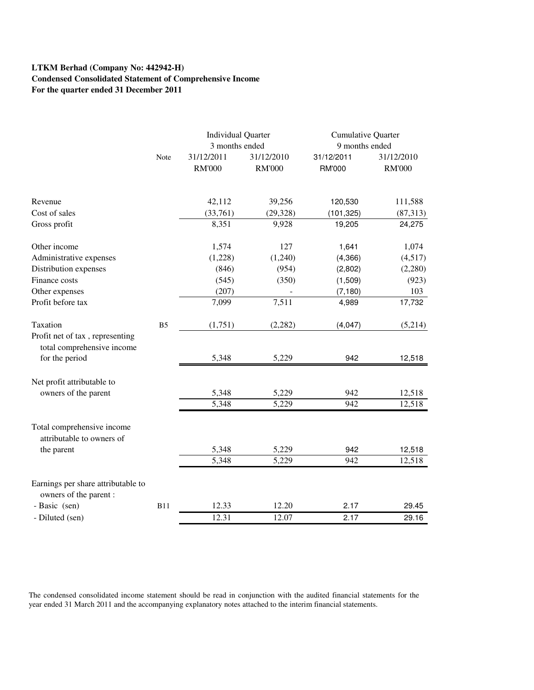# **LTKM Berhad (Company No: 442942-H) Condensed Consolidated Statement of Comprehensive Income For the quarter ended 31 December 2011**

|                                                               |                | <b>Individual Quarter</b> |               | <b>Cumulative Quarter</b> |               |  |
|---------------------------------------------------------------|----------------|---------------------------|---------------|---------------------------|---------------|--|
|                                                               |                | 3 months ended            |               | 9 months ended            |               |  |
|                                                               | Note           | 31/12/2011                | 31/12/2010    | 31/12/2011                | 31/12/2010    |  |
|                                                               |                | <b>RM'000</b>             | <b>RM'000</b> | <b>RM'000</b>             | <b>RM'000</b> |  |
| Revenue                                                       |                | 42,112                    | 39,256        | 120,530                   | 111,588       |  |
| Cost of sales                                                 |                | (33,761)                  | (29, 328)     | (101, 325)                | (87,313)      |  |
| Gross profit                                                  |                | 8,351                     | 9,928         | 19,205                    | 24,275        |  |
| Other income                                                  |                | 1,574                     | 127           | 1,641                     | 1,074         |  |
| Administrative expenses                                       |                | (1,228)                   | (1,240)       | (4,366)                   | (4,517)       |  |
| Distribution expenses                                         |                | (846)                     | (954)         | (2,802)                   | (2,280)       |  |
| Finance costs                                                 |                | (545)                     | (350)         | (1,509)                   | (923)         |  |
| Other expenses                                                |                | (207)                     |               | (7, 180)                  | 103           |  |
| Profit before tax                                             |                | 7,099                     | 7,511         | 4,989                     | 17,732        |  |
| Taxation                                                      | B <sub>5</sub> | (1,751)                   | (2, 282)      | (4,047)                   | (5,214)       |  |
| Profit net of tax, representing<br>total comprehensive income |                |                           |               |                           |               |  |
| for the period                                                |                | 5,348                     | 5,229         | 942                       | 12,518        |  |
| Net profit attributable to                                    |                |                           |               |                           |               |  |
| owners of the parent                                          |                | 5,348                     | 5,229         | 942                       | 12,518        |  |
|                                                               |                | 5,348                     | 5,229         | 942                       | 12,518        |  |
| Total comprehensive income<br>attributable to owners of       |                |                           |               |                           |               |  |
| the parent                                                    |                | 5,348                     | 5,229         | 942                       | 12,518        |  |
|                                                               |                | 5,348                     | 5,229         | 942                       | 12,518        |  |
| Earnings per share attributable to<br>owners of the parent :  |                |                           |               |                           |               |  |
| - Basic (sen)                                                 | <b>B11</b>     | 12.33                     | 12.20         | 2.17                      | 29.45         |  |
| - Diluted (sen)                                               |                | 12.31                     | 12.07         | 2.17                      | 29.16         |  |

The condensed consolidated income statement should be read in conjunction with the audited financial statements for the year ended 31 March 2011 and the accompanying explanatory notes attached to the interim financial statements.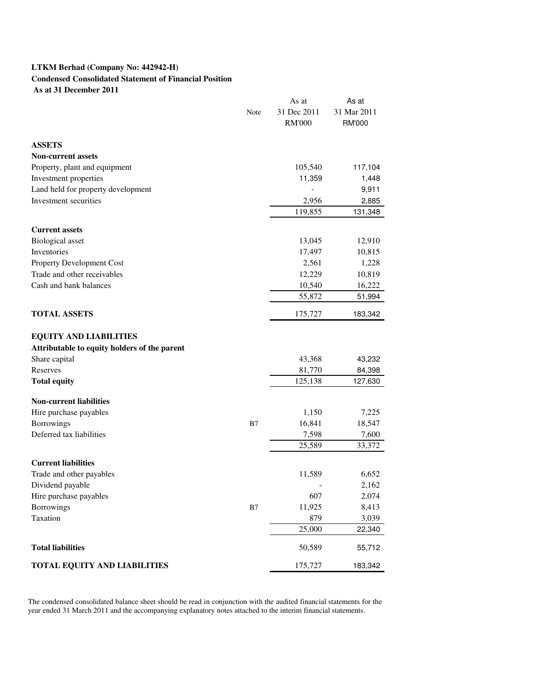### **LTKM Berhad (Company No: 442942-H)**

## **Condensed Consolidated Statement of Financial Position**

 **As at 31 December 2011**

|                                                          |      | As at            | As at            |
|----------------------------------------------------------|------|------------------|------------------|
|                                                          | Note | 31 Dec 2011      | 31 Mar 2011      |
|                                                          |      | <b>RM'000</b>    | <b>RM'000</b>    |
| <b>ASSETS</b>                                            |      |                  |                  |
| <b>Non-current assets</b>                                |      |                  |                  |
| Property, plant and equipment                            |      | 105,540          | 117,104          |
| Investment properties                                    |      | 11,359           | 1,448            |
| Land held for property development                       |      |                  | 9,911            |
| Investment securities                                    |      | 2,956            | 2,885            |
|                                                          |      | 119,855          | 131,348          |
| <b>Current assets</b>                                    |      |                  |                  |
|                                                          |      |                  |                  |
| <b>Biological</b> asset<br>Inventories                   |      | 13,045<br>17,497 | 12,910<br>10,815 |
|                                                          |      | 2,561            | 1,228            |
| Property Development Cost<br>Trade and other receivables |      | 12,229           | 10,819           |
| Cash and bank balances                                   |      | 10,540           | 16,222           |
|                                                          |      | 55,872           | 51,994           |
|                                                          |      |                  |                  |
| <b>TOTAL ASSETS</b>                                      |      | 175,727          | 183,342          |
|                                                          |      |                  |                  |
| <b>EQUITY AND LIABILITIES</b>                            |      |                  |                  |
| Attributable to equity holders of the parent             |      |                  |                  |
| Share capital                                            |      | 43,368           | 43,232           |
| Reserves                                                 |      | 81,770           | 84,398           |
| <b>Total equity</b>                                      |      | 125,138          | 127,630          |
| <b>Non-current liabilities</b>                           |      |                  |                  |
| Hire purchase payables                                   |      | 1,150            | 7,225            |
| <b>Borrowings</b>                                        | B7   | 16,841           | 18,547           |
| Deferred tax liabilities                                 |      | 7,598            | 7,600            |
|                                                          |      | 25,589           | 33,372           |
| <b>Current liabilities</b>                               |      |                  |                  |
| Trade and other payables                                 |      | 11,589           | 6,652            |
| Dividend payable                                         |      |                  | 2,162            |
| Hire purchase payables                                   |      | 607              | 2,074            |
| <b>Borrowings</b>                                        | B7   | 11,925           | 8,413            |
| Taxation                                                 |      | 879              | 3,039            |
|                                                          |      | 25,000           | 22,340           |
| <b>Total liabilities</b>                                 |      | 50,589           | 55,712           |
| TOTAL EQUITY AND LIABILITIES                             |      | 175,727          | 183,342          |

The condensed consolidated balance sheet should be read in conjunction with the audited financial statements for the year ended 31 March 2011 and the accompanying explanatory notes attached to the interim financial statements.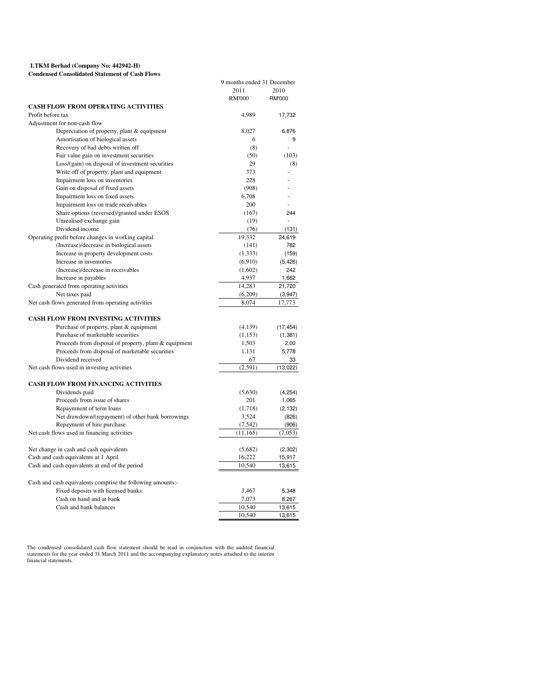#### **LTKM Berhad (Company No: 442942-H) Condensed Consolidated Statement of Cash Flows**

| 9 months ended 31 December<br>2011<br>2010<br><b>RM'000</b><br>RM'000<br><b>CASH FLOW FROM OPERATING ACTIVITIES</b><br>Profit before tax<br>4,989<br>17,732<br>Adjustment for non-cash flow<br>Depreciation of property, plant & equipment<br>8,027<br>6,876<br>Amortisation of biological assets<br>6<br>9<br>Recovery of bad debts written off<br>(8)<br>Fair value gain on investment securities<br>(50)<br>(103)<br>Loss/(gain) on disposal of investment securities<br>29<br>(8)<br>Write off of property, plant and equipment<br>373<br>Impairment loss on inventories<br>228<br>Gain on disposal of fixed assets<br>(908)<br>Impairment loss on fixed assets<br>6,708<br>Impairment loss on trade receivables<br>200<br>Share options (reversed)/granted under ESOS<br>(167)<br>244<br>Unrealised exchange gain<br>(19)<br>$\overline{a}$<br>Dividend income<br>(76)<br>(131)<br>Operating profit before changes in working capital<br>19,332<br>24,619<br>(Increase)/decrease in biological assets<br>(141)<br>782<br>Increase in property development costs<br>(1, 333)<br>(159)<br>Increase in inventories<br>(6,910)<br>(5, 426)<br>(Increase)/decrease in receivables<br>(1,602)<br>242<br>Increase in payables<br>4,937<br>1,662<br>Cash generated from operating activities<br>14,283<br>21,720<br>Net taxes paid<br>(6,209)<br>(3,947)<br>Net cash flows generated from operating activities<br>8,074<br>17,773<br><b>CASH FLOW FROM INVESTING ACTIVITIES</b><br>Purchase of property, plant & equipment<br>(4,139)<br>(17, 454)<br>Purchase of marketable securities<br>(1, 153)<br>(1, 381)<br>Proceeds from disposal of property, plant & equipment<br>1,503<br>2.00<br>Proceeds from disposal of marketable securities<br>1,131<br>5,778<br>Dividend received<br>67<br>33<br>Net cash flows used in investing activities<br>(2,591)<br>(13,022)<br><b>CASH FLOW FROM FINANCING ACTIVITIES</b><br>Dividends paid<br>(5,630)<br>(4,254)<br>Proceeds from issue of shares<br>201<br>1,065<br>Repaymnent of term loans<br>(1,718)<br>(2, 132)<br>Net drawdown/(repayment) of other bank borrowings<br>3,524<br>(826)<br>Repayment of hire purchase<br>(7, 542)<br>(906)<br>Net cash flows used in financing activities<br>(11, 165)<br>(7,053)<br>Net change in cash and cash equivalents<br>(5,682)<br>(2,302)<br>Cash and cash equivalents at 1 April<br>16,222<br>15,917<br>Cash and cash equivalents at end of the period<br>10,540<br>13,615<br>Cash and cash equivalents comprise the following amounts:-<br>Fixed deposits with licensed banks<br>3,467<br>5,348<br>Cash on hand and at bank<br>7,073<br>8,267<br>Cash and bank balances<br>10,540<br>13,615<br>10,540<br>13,615 | Condensed Consondated Statement of Cash Flows |  |
|--------------------------------------------------------------------------------------------------------------------------------------------------------------------------------------------------------------------------------------------------------------------------------------------------------------------------------------------------------------------------------------------------------------------------------------------------------------------------------------------------------------------------------------------------------------------------------------------------------------------------------------------------------------------------------------------------------------------------------------------------------------------------------------------------------------------------------------------------------------------------------------------------------------------------------------------------------------------------------------------------------------------------------------------------------------------------------------------------------------------------------------------------------------------------------------------------------------------------------------------------------------------------------------------------------------------------------------------------------------------------------------------------------------------------------------------------------------------------------------------------------------------------------------------------------------------------------------------------------------------------------------------------------------------------------------------------------------------------------------------------------------------------------------------------------------------------------------------------------------------------------------------------------------------------------------------------------------------------------------------------------------------------------------------------------------------------------------------------------------------------------------------------------------------------------------------------------------------------------------------------------------------------------------------------------------------------------------------------------------------------------------------------------------------------------------------------------------------------------------------------------------------------------------------------------------------------------------------------------------------------------------------------------------------------------------------------------|-----------------------------------------------|--|
|                                                                                                                                                                                                                                                                                                                                                                                                                                                                                                                                                                                                                                                                                                                                                                                                                                                                                                                                                                                                                                                                                                                                                                                                                                                                                                                                                                                                                                                                                                                                                                                                                                                                                                                                                                                                                                                                                                                                                                                                                                                                                                                                                                                                                                                                                                                                                                                                                                                                                                                                                                                                                                                                                                        |                                               |  |
|                                                                                                                                                                                                                                                                                                                                                                                                                                                                                                                                                                                                                                                                                                                                                                                                                                                                                                                                                                                                                                                                                                                                                                                                                                                                                                                                                                                                                                                                                                                                                                                                                                                                                                                                                                                                                                                                                                                                                                                                                                                                                                                                                                                                                                                                                                                                                                                                                                                                                                                                                                                                                                                                                                        |                                               |  |
|                                                                                                                                                                                                                                                                                                                                                                                                                                                                                                                                                                                                                                                                                                                                                                                                                                                                                                                                                                                                                                                                                                                                                                                                                                                                                                                                                                                                                                                                                                                                                                                                                                                                                                                                                                                                                                                                                                                                                                                                                                                                                                                                                                                                                                                                                                                                                                                                                                                                                                                                                                                                                                                                                                        |                                               |  |
|                                                                                                                                                                                                                                                                                                                                                                                                                                                                                                                                                                                                                                                                                                                                                                                                                                                                                                                                                                                                                                                                                                                                                                                                                                                                                                                                                                                                                                                                                                                                                                                                                                                                                                                                                                                                                                                                                                                                                                                                                                                                                                                                                                                                                                                                                                                                                                                                                                                                                                                                                                                                                                                                                                        |                                               |  |
|                                                                                                                                                                                                                                                                                                                                                                                                                                                                                                                                                                                                                                                                                                                                                                                                                                                                                                                                                                                                                                                                                                                                                                                                                                                                                                                                                                                                                                                                                                                                                                                                                                                                                                                                                                                                                                                                                                                                                                                                                                                                                                                                                                                                                                                                                                                                                                                                                                                                                                                                                                                                                                                                                                        |                                               |  |
|                                                                                                                                                                                                                                                                                                                                                                                                                                                                                                                                                                                                                                                                                                                                                                                                                                                                                                                                                                                                                                                                                                                                                                                                                                                                                                                                                                                                                                                                                                                                                                                                                                                                                                                                                                                                                                                                                                                                                                                                                                                                                                                                                                                                                                                                                                                                                                                                                                                                                                                                                                                                                                                                                                        |                                               |  |
|                                                                                                                                                                                                                                                                                                                                                                                                                                                                                                                                                                                                                                                                                                                                                                                                                                                                                                                                                                                                                                                                                                                                                                                                                                                                                                                                                                                                                                                                                                                                                                                                                                                                                                                                                                                                                                                                                                                                                                                                                                                                                                                                                                                                                                                                                                                                                                                                                                                                                                                                                                                                                                                                                                        |                                               |  |
|                                                                                                                                                                                                                                                                                                                                                                                                                                                                                                                                                                                                                                                                                                                                                                                                                                                                                                                                                                                                                                                                                                                                                                                                                                                                                                                                                                                                                                                                                                                                                                                                                                                                                                                                                                                                                                                                                                                                                                                                                                                                                                                                                                                                                                                                                                                                                                                                                                                                                                                                                                                                                                                                                                        |                                               |  |
|                                                                                                                                                                                                                                                                                                                                                                                                                                                                                                                                                                                                                                                                                                                                                                                                                                                                                                                                                                                                                                                                                                                                                                                                                                                                                                                                                                                                                                                                                                                                                                                                                                                                                                                                                                                                                                                                                                                                                                                                                                                                                                                                                                                                                                                                                                                                                                                                                                                                                                                                                                                                                                                                                                        |                                               |  |
|                                                                                                                                                                                                                                                                                                                                                                                                                                                                                                                                                                                                                                                                                                                                                                                                                                                                                                                                                                                                                                                                                                                                                                                                                                                                                                                                                                                                                                                                                                                                                                                                                                                                                                                                                                                                                                                                                                                                                                                                                                                                                                                                                                                                                                                                                                                                                                                                                                                                                                                                                                                                                                                                                                        |                                               |  |
|                                                                                                                                                                                                                                                                                                                                                                                                                                                                                                                                                                                                                                                                                                                                                                                                                                                                                                                                                                                                                                                                                                                                                                                                                                                                                                                                                                                                                                                                                                                                                                                                                                                                                                                                                                                                                                                                                                                                                                                                                                                                                                                                                                                                                                                                                                                                                                                                                                                                                                                                                                                                                                                                                                        |                                               |  |
|                                                                                                                                                                                                                                                                                                                                                                                                                                                                                                                                                                                                                                                                                                                                                                                                                                                                                                                                                                                                                                                                                                                                                                                                                                                                                                                                                                                                                                                                                                                                                                                                                                                                                                                                                                                                                                                                                                                                                                                                                                                                                                                                                                                                                                                                                                                                                                                                                                                                                                                                                                                                                                                                                                        |                                               |  |
|                                                                                                                                                                                                                                                                                                                                                                                                                                                                                                                                                                                                                                                                                                                                                                                                                                                                                                                                                                                                                                                                                                                                                                                                                                                                                                                                                                                                                                                                                                                                                                                                                                                                                                                                                                                                                                                                                                                                                                                                                                                                                                                                                                                                                                                                                                                                                                                                                                                                                                                                                                                                                                                                                                        |                                               |  |
|                                                                                                                                                                                                                                                                                                                                                                                                                                                                                                                                                                                                                                                                                                                                                                                                                                                                                                                                                                                                                                                                                                                                                                                                                                                                                                                                                                                                                                                                                                                                                                                                                                                                                                                                                                                                                                                                                                                                                                                                                                                                                                                                                                                                                                                                                                                                                                                                                                                                                                                                                                                                                                                                                                        |                                               |  |
|                                                                                                                                                                                                                                                                                                                                                                                                                                                                                                                                                                                                                                                                                                                                                                                                                                                                                                                                                                                                                                                                                                                                                                                                                                                                                                                                                                                                                                                                                                                                                                                                                                                                                                                                                                                                                                                                                                                                                                                                                                                                                                                                                                                                                                                                                                                                                                                                                                                                                                                                                                                                                                                                                                        |                                               |  |
|                                                                                                                                                                                                                                                                                                                                                                                                                                                                                                                                                                                                                                                                                                                                                                                                                                                                                                                                                                                                                                                                                                                                                                                                                                                                                                                                                                                                                                                                                                                                                                                                                                                                                                                                                                                                                                                                                                                                                                                                                                                                                                                                                                                                                                                                                                                                                                                                                                                                                                                                                                                                                                                                                                        |                                               |  |
|                                                                                                                                                                                                                                                                                                                                                                                                                                                                                                                                                                                                                                                                                                                                                                                                                                                                                                                                                                                                                                                                                                                                                                                                                                                                                                                                                                                                                                                                                                                                                                                                                                                                                                                                                                                                                                                                                                                                                                                                                                                                                                                                                                                                                                                                                                                                                                                                                                                                                                                                                                                                                                                                                                        |                                               |  |
|                                                                                                                                                                                                                                                                                                                                                                                                                                                                                                                                                                                                                                                                                                                                                                                                                                                                                                                                                                                                                                                                                                                                                                                                                                                                                                                                                                                                                                                                                                                                                                                                                                                                                                                                                                                                                                                                                                                                                                                                                                                                                                                                                                                                                                                                                                                                                                                                                                                                                                                                                                                                                                                                                                        |                                               |  |
|                                                                                                                                                                                                                                                                                                                                                                                                                                                                                                                                                                                                                                                                                                                                                                                                                                                                                                                                                                                                                                                                                                                                                                                                                                                                                                                                                                                                                                                                                                                                                                                                                                                                                                                                                                                                                                                                                                                                                                                                                                                                                                                                                                                                                                                                                                                                                                                                                                                                                                                                                                                                                                                                                                        |                                               |  |
|                                                                                                                                                                                                                                                                                                                                                                                                                                                                                                                                                                                                                                                                                                                                                                                                                                                                                                                                                                                                                                                                                                                                                                                                                                                                                                                                                                                                                                                                                                                                                                                                                                                                                                                                                                                                                                                                                                                                                                                                                                                                                                                                                                                                                                                                                                                                                                                                                                                                                                                                                                                                                                                                                                        |                                               |  |
|                                                                                                                                                                                                                                                                                                                                                                                                                                                                                                                                                                                                                                                                                                                                                                                                                                                                                                                                                                                                                                                                                                                                                                                                                                                                                                                                                                                                                                                                                                                                                                                                                                                                                                                                                                                                                                                                                                                                                                                                                                                                                                                                                                                                                                                                                                                                                                                                                                                                                                                                                                                                                                                                                                        |                                               |  |
|                                                                                                                                                                                                                                                                                                                                                                                                                                                                                                                                                                                                                                                                                                                                                                                                                                                                                                                                                                                                                                                                                                                                                                                                                                                                                                                                                                                                                                                                                                                                                                                                                                                                                                                                                                                                                                                                                                                                                                                                                                                                                                                                                                                                                                                                                                                                                                                                                                                                                                                                                                                                                                                                                                        |                                               |  |
|                                                                                                                                                                                                                                                                                                                                                                                                                                                                                                                                                                                                                                                                                                                                                                                                                                                                                                                                                                                                                                                                                                                                                                                                                                                                                                                                                                                                                                                                                                                                                                                                                                                                                                                                                                                                                                                                                                                                                                                                                                                                                                                                                                                                                                                                                                                                                                                                                                                                                                                                                                                                                                                                                                        |                                               |  |
|                                                                                                                                                                                                                                                                                                                                                                                                                                                                                                                                                                                                                                                                                                                                                                                                                                                                                                                                                                                                                                                                                                                                                                                                                                                                                                                                                                                                                                                                                                                                                                                                                                                                                                                                                                                                                                                                                                                                                                                                                                                                                                                                                                                                                                                                                                                                                                                                                                                                                                                                                                                                                                                                                                        |                                               |  |
|                                                                                                                                                                                                                                                                                                                                                                                                                                                                                                                                                                                                                                                                                                                                                                                                                                                                                                                                                                                                                                                                                                                                                                                                                                                                                                                                                                                                                                                                                                                                                                                                                                                                                                                                                                                                                                                                                                                                                                                                                                                                                                                                                                                                                                                                                                                                                                                                                                                                                                                                                                                                                                                                                                        |                                               |  |
|                                                                                                                                                                                                                                                                                                                                                                                                                                                                                                                                                                                                                                                                                                                                                                                                                                                                                                                                                                                                                                                                                                                                                                                                                                                                                                                                                                                                                                                                                                                                                                                                                                                                                                                                                                                                                                                                                                                                                                                                                                                                                                                                                                                                                                                                                                                                                                                                                                                                                                                                                                                                                                                                                                        |                                               |  |
|                                                                                                                                                                                                                                                                                                                                                                                                                                                                                                                                                                                                                                                                                                                                                                                                                                                                                                                                                                                                                                                                                                                                                                                                                                                                                                                                                                                                                                                                                                                                                                                                                                                                                                                                                                                                                                                                                                                                                                                                                                                                                                                                                                                                                                                                                                                                                                                                                                                                                                                                                                                                                                                                                                        |                                               |  |
|                                                                                                                                                                                                                                                                                                                                                                                                                                                                                                                                                                                                                                                                                                                                                                                                                                                                                                                                                                                                                                                                                                                                                                                                                                                                                                                                                                                                                                                                                                                                                                                                                                                                                                                                                                                                                                                                                                                                                                                                                                                                                                                                                                                                                                                                                                                                                                                                                                                                                                                                                                                                                                                                                                        |                                               |  |
|                                                                                                                                                                                                                                                                                                                                                                                                                                                                                                                                                                                                                                                                                                                                                                                                                                                                                                                                                                                                                                                                                                                                                                                                                                                                                                                                                                                                                                                                                                                                                                                                                                                                                                                                                                                                                                                                                                                                                                                                                                                                                                                                                                                                                                                                                                                                                                                                                                                                                                                                                                                                                                                                                                        |                                               |  |
|                                                                                                                                                                                                                                                                                                                                                                                                                                                                                                                                                                                                                                                                                                                                                                                                                                                                                                                                                                                                                                                                                                                                                                                                                                                                                                                                                                                                                                                                                                                                                                                                                                                                                                                                                                                                                                                                                                                                                                                                                                                                                                                                                                                                                                                                                                                                                                                                                                                                                                                                                                                                                                                                                                        |                                               |  |
|                                                                                                                                                                                                                                                                                                                                                                                                                                                                                                                                                                                                                                                                                                                                                                                                                                                                                                                                                                                                                                                                                                                                                                                                                                                                                                                                                                                                                                                                                                                                                                                                                                                                                                                                                                                                                                                                                                                                                                                                                                                                                                                                                                                                                                                                                                                                                                                                                                                                                                                                                                                                                                                                                                        |                                               |  |
|                                                                                                                                                                                                                                                                                                                                                                                                                                                                                                                                                                                                                                                                                                                                                                                                                                                                                                                                                                                                                                                                                                                                                                                                                                                                                                                                                                                                                                                                                                                                                                                                                                                                                                                                                                                                                                                                                                                                                                                                                                                                                                                                                                                                                                                                                                                                                                                                                                                                                                                                                                                                                                                                                                        |                                               |  |
|                                                                                                                                                                                                                                                                                                                                                                                                                                                                                                                                                                                                                                                                                                                                                                                                                                                                                                                                                                                                                                                                                                                                                                                                                                                                                                                                                                                                                                                                                                                                                                                                                                                                                                                                                                                                                                                                                                                                                                                                                                                                                                                                                                                                                                                                                                                                                                                                                                                                                                                                                                                                                                                                                                        |                                               |  |
|                                                                                                                                                                                                                                                                                                                                                                                                                                                                                                                                                                                                                                                                                                                                                                                                                                                                                                                                                                                                                                                                                                                                                                                                                                                                                                                                                                                                                                                                                                                                                                                                                                                                                                                                                                                                                                                                                                                                                                                                                                                                                                                                                                                                                                                                                                                                                                                                                                                                                                                                                                                                                                                                                                        |                                               |  |
|                                                                                                                                                                                                                                                                                                                                                                                                                                                                                                                                                                                                                                                                                                                                                                                                                                                                                                                                                                                                                                                                                                                                                                                                                                                                                                                                                                                                                                                                                                                                                                                                                                                                                                                                                                                                                                                                                                                                                                                                                                                                                                                                                                                                                                                                                                                                                                                                                                                                                                                                                                                                                                                                                                        |                                               |  |
|                                                                                                                                                                                                                                                                                                                                                                                                                                                                                                                                                                                                                                                                                                                                                                                                                                                                                                                                                                                                                                                                                                                                                                                                                                                                                                                                                                                                                                                                                                                                                                                                                                                                                                                                                                                                                                                                                                                                                                                                                                                                                                                                                                                                                                                                                                                                                                                                                                                                                                                                                                                                                                                                                                        |                                               |  |
|                                                                                                                                                                                                                                                                                                                                                                                                                                                                                                                                                                                                                                                                                                                                                                                                                                                                                                                                                                                                                                                                                                                                                                                                                                                                                                                                                                                                                                                                                                                                                                                                                                                                                                                                                                                                                                                                                                                                                                                                                                                                                                                                                                                                                                                                                                                                                                                                                                                                                                                                                                                                                                                                                                        |                                               |  |
|                                                                                                                                                                                                                                                                                                                                                                                                                                                                                                                                                                                                                                                                                                                                                                                                                                                                                                                                                                                                                                                                                                                                                                                                                                                                                                                                                                                                                                                                                                                                                                                                                                                                                                                                                                                                                                                                                                                                                                                                                                                                                                                                                                                                                                                                                                                                                                                                                                                                                                                                                                                                                                                                                                        |                                               |  |
|                                                                                                                                                                                                                                                                                                                                                                                                                                                                                                                                                                                                                                                                                                                                                                                                                                                                                                                                                                                                                                                                                                                                                                                                                                                                                                                                                                                                                                                                                                                                                                                                                                                                                                                                                                                                                                                                                                                                                                                                                                                                                                                                                                                                                                                                                                                                                                                                                                                                                                                                                                                                                                                                                                        |                                               |  |
|                                                                                                                                                                                                                                                                                                                                                                                                                                                                                                                                                                                                                                                                                                                                                                                                                                                                                                                                                                                                                                                                                                                                                                                                                                                                                                                                                                                                                                                                                                                                                                                                                                                                                                                                                                                                                                                                                                                                                                                                                                                                                                                                                                                                                                                                                                                                                                                                                                                                                                                                                                                                                                                                                                        |                                               |  |
|                                                                                                                                                                                                                                                                                                                                                                                                                                                                                                                                                                                                                                                                                                                                                                                                                                                                                                                                                                                                                                                                                                                                                                                                                                                                                                                                                                                                                                                                                                                                                                                                                                                                                                                                                                                                                                                                                                                                                                                                                                                                                                                                                                                                                                                                                                                                                                                                                                                                                                                                                                                                                                                                                                        |                                               |  |
|                                                                                                                                                                                                                                                                                                                                                                                                                                                                                                                                                                                                                                                                                                                                                                                                                                                                                                                                                                                                                                                                                                                                                                                                                                                                                                                                                                                                                                                                                                                                                                                                                                                                                                                                                                                                                                                                                                                                                                                                                                                                                                                                                                                                                                                                                                                                                                                                                                                                                                                                                                                                                                                                                                        |                                               |  |
|                                                                                                                                                                                                                                                                                                                                                                                                                                                                                                                                                                                                                                                                                                                                                                                                                                                                                                                                                                                                                                                                                                                                                                                                                                                                                                                                                                                                                                                                                                                                                                                                                                                                                                                                                                                                                                                                                                                                                                                                                                                                                                                                                                                                                                                                                                                                                                                                                                                                                                                                                                                                                                                                                                        |                                               |  |
|                                                                                                                                                                                                                                                                                                                                                                                                                                                                                                                                                                                                                                                                                                                                                                                                                                                                                                                                                                                                                                                                                                                                                                                                                                                                                                                                                                                                                                                                                                                                                                                                                                                                                                                                                                                                                                                                                                                                                                                                                                                                                                                                                                                                                                                                                                                                                                                                                                                                                                                                                                                                                                                                                                        |                                               |  |
|                                                                                                                                                                                                                                                                                                                                                                                                                                                                                                                                                                                                                                                                                                                                                                                                                                                                                                                                                                                                                                                                                                                                                                                                                                                                                                                                                                                                                                                                                                                                                                                                                                                                                                                                                                                                                                                                                                                                                                                                                                                                                                                                                                                                                                                                                                                                                                                                                                                                                                                                                                                                                                                                                                        |                                               |  |
|                                                                                                                                                                                                                                                                                                                                                                                                                                                                                                                                                                                                                                                                                                                                                                                                                                                                                                                                                                                                                                                                                                                                                                                                                                                                                                                                                                                                                                                                                                                                                                                                                                                                                                                                                                                                                                                                                                                                                                                                                                                                                                                                                                                                                                                                                                                                                                                                                                                                                                                                                                                                                                                                                                        |                                               |  |
|                                                                                                                                                                                                                                                                                                                                                                                                                                                                                                                                                                                                                                                                                                                                                                                                                                                                                                                                                                                                                                                                                                                                                                                                                                                                                                                                                                                                                                                                                                                                                                                                                                                                                                                                                                                                                                                                                                                                                                                                                                                                                                                                                                                                                                                                                                                                                                                                                                                                                                                                                                                                                                                                                                        |                                               |  |
|                                                                                                                                                                                                                                                                                                                                                                                                                                                                                                                                                                                                                                                                                                                                                                                                                                                                                                                                                                                                                                                                                                                                                                                                                                                                                                                                                                                                                                                                                                                                                                                                                                                                                                                                                                                                                                                                                                                                                                                                                                                                                                                                                                                                                                                                                                                                                                                                                                                                                                                                                                                                                                                                                                        |                                               |  |
|                                                                                                                                                                                                                                                                                                                                                                                                                                                                                                                                                                                                                                                                                                                                                                                                                                                                                                                                                                                                                                                                                                                                                                                                                                                                                                                                                                                                                                                                                                                                                                                                                                                                                                                                                                                                                                                                                                                                                                                                                                                                                                                                                                                                                                                                                                                                                                                                                                                                                                                                                                                                                                                                                                        |                                               |  |
|                                                                                                                                                                                                                                                                                                                                                                                                                                                                                                                                                                                                                                                                                                                                                                                                                                                                                                                                                                                                                                                                                                                                                                                                                                                                                                                                                                                                                                                                                                                                                                                                                                                                                                                                                                                                                                                                                                                                                                                                                                                                                                                                                                                                                                                                                                                                                                                                                                                                                                                                                                                                                                                                                                        |                                               |  |
|                                                                                                                                                                                                                                                                                                                                                                                                                                                                                                                                                                                                                                                                                                                                                                                                                                                                                                                                                                                                                                                                                                                                                                                                                                                                                                                                                                                                                                                                                                                                                                                                                                                                                                                                                                                                                                                                                                                                                                                                                                                                                                                                                                                                                                                                                                                                                                                                                                                                                                                                                                                                                                                                                                        |                                               |  |
|                                                                                                                                                                                                                                                                                                                                                                                                                                                                                                                                                                                                                                                                                                                                                                                                                                                                                                                                                                                                                                                                                                                                                                                                                                                                                                                                                                                                                                                                                                                                                                                                                                                                                                                                                                                                                                                                                                                                                                                                                                                                                                                                                                                                                                                                                                                                                                                                                                                                                                                                                                                                                                                                                                        |                                               |  |

The condensed consolidated cash flow statement should be read in conjunction with the audited financial<br>statements for the year ended 31 March 2011 and the accompanying explanatory notes attached to the interim<br>financial s